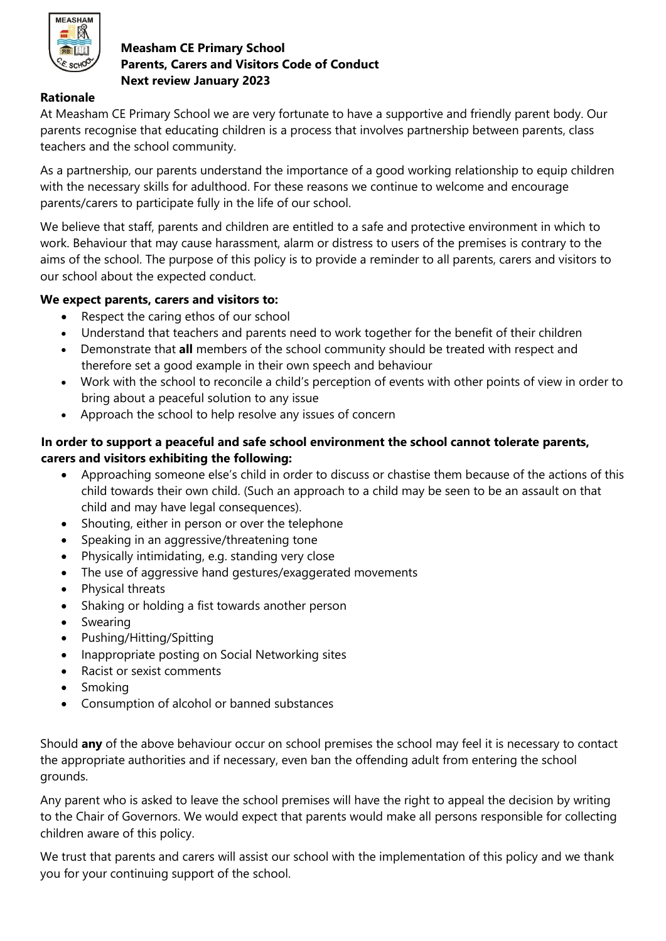

## **Measham CE Primary School Parents, Carers and Visitors Code of Conduct Next review January 2023**

## **Rationale**

At Measham CE Primary School we are very fortunate to have a supportive and friendly parent body. Our parents recognise that educating children is a process that involves partnership between parents, class teachers and the school community.

As a partnership, our parents understand the importance of a good working relationship to equip children with the necessary skills for adulthood. For these reasons we continue to welcome and encourage parents/carers to participate fully in the life of our school.

We believe that staff, parents and children are entitled to a safe and protective environment in which to work. Behaviour that may cause harassment, alarm or distress to users of the premises is contrary to the aims of the school. The purpose of this policy is to provide a reminder to all parents, carers and visitors to our school about the expected conduct.

## **We expect parents, carers and visitors to:**

- Respect the caring ethos of our school
- Understand that teachers and parents need to work together for the benefit of their children
- Demonstrate that **all** members of the school community should be treated with respect and therefore set a good example in their own speech and behaviour
- Work with the school to reconcile a child's perception of events with other points of view in order to bring about a peaceful solution to any issue
- Approach the school to help resolve any issues of concern

## **In order to support a peaceful and safe school environment the school cannot tolerate parents, carers and visitors exhibiting the following:**

- Approaching someone else's child in order to discuss or chastise them because of the actions of this child towards their own child. (Such an approach to a child may be seen to be an assault on that child and may have legal consequences).
- Shouting, either in person or over the telephone
- Speaking in an aggressive/threatening tone
- Physically intimidating, e.g. standing very close
- The use of aggressive hand gestures/exaggerated movements
- Physical threats
- Shaking or holding a fist towards another person
- Swearing
- Pushing/Hitting/Spitting
- Inappropriate posting on Social Networking sites
- Racist or sexist comments
- Smoking
- Consumption of alcohol or banned substances

Should **any** of the above behaviour occur on school premises the school may feel it is necessary to contact the appropriate authorities and if necessary, even ban the offending adult from entering the school grounds.

Any parent who is asked to leave the school premises will have the right to appeal the decision by writing to the Chair of Governors. We would expect that parents would make all persons responsible for collecting children aware of this policy.

We trust that parents and carers will assist our school with the implementation of this policy and we thank you for your continuing support of the school.